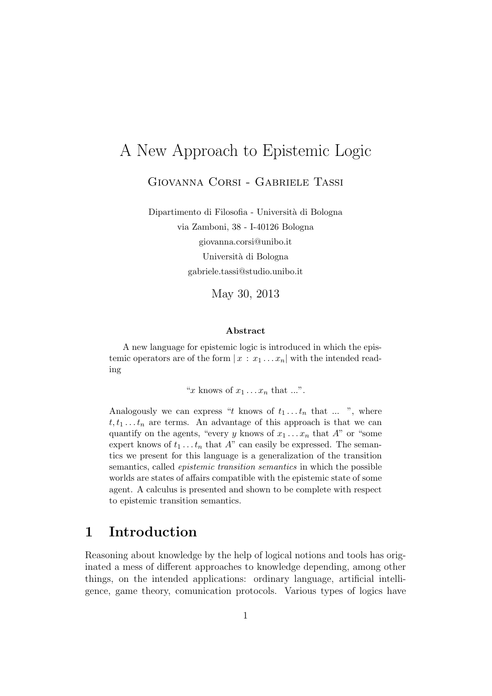# A New Approach to Epistemic Logic

Giovanna Corsi - Gabriele Tassi

Dipartimento di Filosofia - Universit`a di Bologna via Zamboni, 38 - I-40126 Bologna giovanna.corsi@unibo.it Università di Bologna gabriele.tassi@studio.unibo.it

May 30, 2013

#### Abstract

A new language for epistemic logic is introduced in which the epistemic operators are of the form  $x : x_1 \dots x_n$  with the intended reading

"x knows of  $x_1 \ldots x_n$  that ...".

Analogously we can express "t knows of  $t_1 \ldots t_n$  that  $\ldots$ ", where  $t, t_1 \ldots t_n$  are terms. An advantage of this approach is that we can quantify on the agents, "every y knows of  $x_1 \ldots x_n$  that A" or "some expert knows of  $t_1 \ldots t_n$  that A" can easily be expressed. The semantics we present for this language is a generalization of the transition semantics, called epistemic transition semantics in which the possible worlds are states of affairs compatible with the epistemic state of some agent. A calculus is presented and shown to be complete with respect to epistemic transition semantics.

### 1 Introduction

Reasoning about knowledge by the help of logical notions and tools has originated a mess of different approaches to knowledge depending, among other things, on the intended applications: ordinary language, artificial intelligence, game theory, comunication protocols. Various types of logics have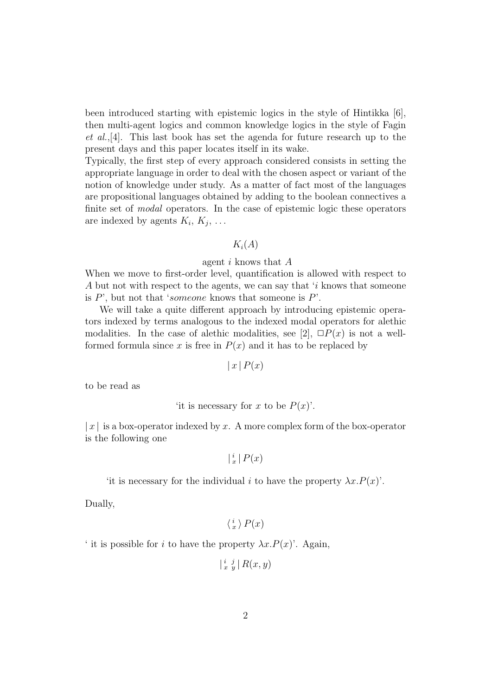been introduced starting with epistemic logics in the style of Hintikka [6], then multi-agent logics and common knowledge logics in the style of Fagin et al.,[4]. This last book has set the agenda for future research up to the present days and this paper locates itself in its wake.

Typically, the first step of every approach considered consists in setting the appropriate language in order to deal with the chosen aspect or variant of the notion of knowledge under study. As a matter of fact most of the languages are propositional languages obtained by adding to the boolean connectives a finite set of *modal* operators. In the case of epistemic logic these operators are indexed by agents  $K_i, K_j, \ldots$ 

### $K_i(A)$

#### agent i knows that A

When we move to first-order level, quantification is allowed with respect to A but not with respect to the agents, we can say that 'i knows that someone is  $P'$ , but not that 'someone knows that someone is  $P'$ .

We will take a quite different approach by introducing epistemic operators indexed by terms analogous to the indexed modal operators for alethic modalities. In the case of alethic modalities, see [2],  $\Box P(x)$  is not a wellformed formula since x is free in  $P(x)$  and it has to be replaced by

$$
|x|P(x)
$$

to be read as

```
'it is necessary for x to be P(x)'.
```
 $|x|$  is a box-operator indexed by x. A more complex form of the box-operator is the following one

 $\vert \frac{i}{x} \vert P(x)$ 

```
'it is necessary for the individual i to have the property \lambda x.P(x)'.
```
Dually,

```
\langle \frac{i}{x} \rangle P(x)
```
' it is possible for i to have the property  $\lambda x.P(x)$ '. Again,

$$
\left| \begin{smallmatrix} i&j\\x&y \end{smallmatrix} \right| R(x,y)
$$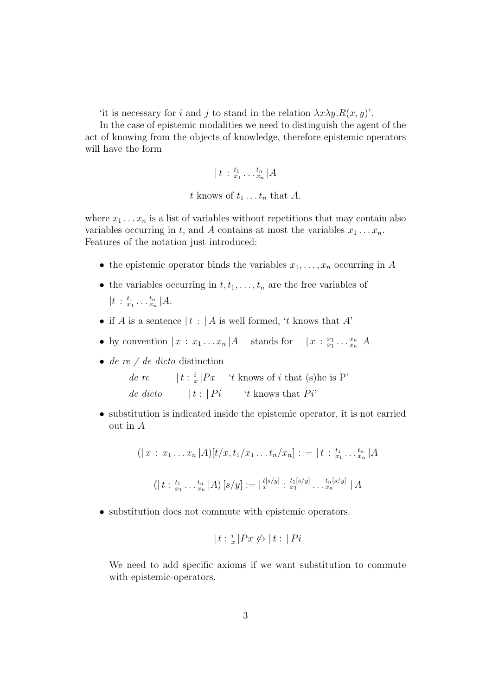'it is necessary for i and j to stand in the relation  $\lambda x \lambda y \cdot R(x, y)$ '.

In the case of epistemic modalities we need to distinguish the agent of the act of knowing from the objects of knowledge, therefore epistemic operators will have the form

$$
\|t\,:\tfrac{t_1}{x_1}\ldots\tfrac{t_n}{x_n}\,|A\>
$$

t knows of  $t_1 \ldots t_n$  that A.

where  $x_1 \ldots x_n$  is a list of variables without repetitions that may contain also variables occurring in t, and A contains at most the variables  $x_1 \ldots x_n$ . Features of the notation just introduced:

- the epistemic operator binds the variables  $x_1, \ldots, x_n$  occurring in A
- the variables occurring in  $t, t_1, \ldots, t_n$  are the free variables of  $|t : \frac{t_1}{x_1} \dots \frac{t_n}{x_n} | A.$
- if A is a sentence  $|t : A$  is well formed, 't knows that A'
- by convention  $|x : x_1 \dots x_n|A$  stands for  $|x : x_1 \dots x_n|A$
- $\bullet$  de re / de dicto distinction

de re  $|t : \frac{i}{x}|Px$  't knows of i that (s) he is P' de dicto  $|t : |Pi$  't knows that  $Pi$ 

• substitution is indicated inside the epistemic operator, it is not carried out in A

$$
(|x : x_1 ... x_n | A)[t/x, t_1/x_1 ... t_n/x_n] := |t : \frac{t_1}{x_1} ... \frac{t_n}{x_n} | A
$$

$$
(|t : \frac{t_1}{x_1} ... \frac{t_n}{x_n} | A) [s/y] := |\frac{t^{[s/y]}}{x_1} : \frac{t_1^{[s/y]}}{x_1} ... \frac{t_n^{[s/y]}}{x_n} | A
$$

• substitution does not commute with epistemic operators.

$$
|t : \frac{i}{x} |Px \not\leftrightarrow |t : |Pi
$$

We need to add specific axioms if we want substitution to commute with epistemic-operators.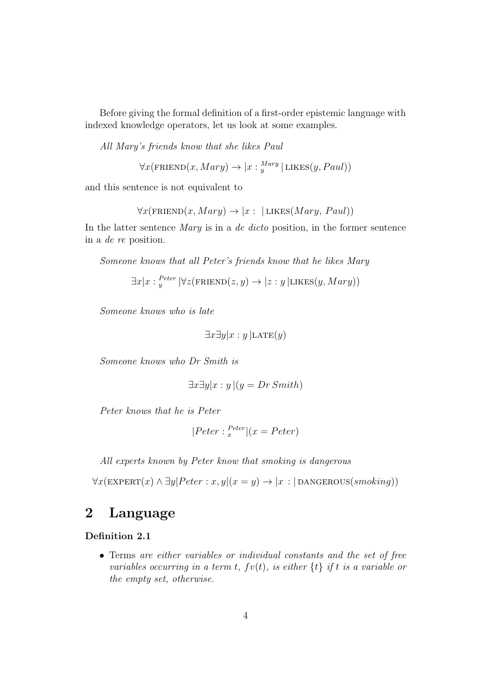Before giving the formal definition of a first-order epistemic language with indexed knowledge operators, let us look at some examples.

All Mary's friends know that she likes Paul

$$
\forall x (\text{FRIEND}(x, Mary) \rightarrow |x : \frac{Mary}{y} | \text{LIKES}(y, Paul))
$$

and this sentence is not equivalent to

 $\forall x$ (FRIEND $(x, Mary) \rightarrow |x : |$ LIKES(*Mary*, *Paul*))

In the latter sentence Mary is in a de dicto position, in the former sentence in a de re position.

Someone knows that all Peter's friends know that he likes Mary

 $\exists x | x :_{y}^{Peter} |\forall z (FRIEND(z, y) \rightarrow |z : y | LIKES(y, Mary))$ 

Someone knows who is late

$$
\exists x \exists y | x : y \, | \text{LATE}(y)
$$

Someone knows who Dr Smith is

$$
\exists x \exists y | x : y | (y = Dr \, Smith)
$$

Peter knows that he is Peter

$$
|Peter:_{x}^{Peter}|(x = Peter)
$$

All experts known by Peter know that smoking is dangerous

 $\forall x(\text{EXPERT}(x) \land \exists y | Peter : x, y | (x = y) \rightarrow |x : |$  DANGEROUS(*smoking*))

# 2 Language

### Definition 2.1

• Terms are either variables or individual constants and the set of free variables occurring in a term t,  $fv(t)$ , is either  $\{t\}$  if t is a variable or the empty set, otherwise.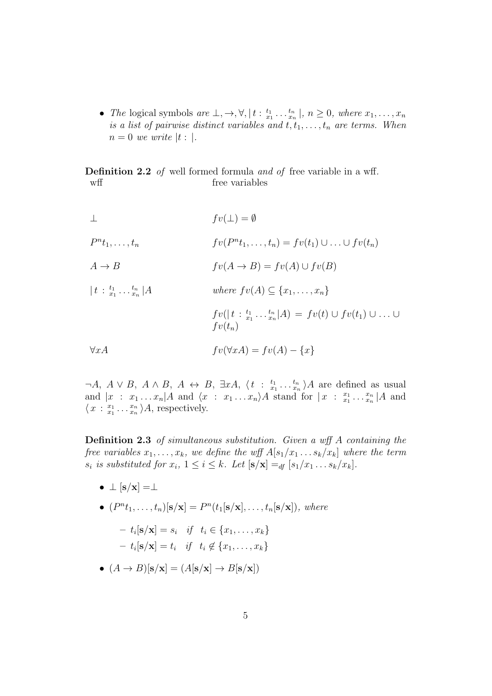• The logical symbols are  $\perp, \to, \forall, |t : \frac{t_1}{x_1} \dots \frac{t_n}{x_n}|, n \ge 0$ , where  $x_1, \dots, x_n$ is a list of pairwise distinct variables and  $t, t_1, \ldots, t_n$  are terms. When  $n=0$  we write |t : |.

Definition 2.2 of well formed formula and of free variable in a wff. wff free variables

$$
\perp
$$
  
\n
$$
fv(\perp) = \emptyset
$$
  
\n
$$
P^{n}t_{1}, \ldots, t_{n}
$$
  
\n
$$
f v(P^{n}t_{1}, \ldots, t_{n}) = f v(t_{1}) \cup \ldots \cup f v(t_{n})
$$
  
\n
$$
A \rightarrow B
$$
  
\n
$$
f v(A \rightarrow B) = f v(A) \cup f v(B)
$$
  
\n
$$
|t : \frac{t_{1}}{x_{1}} \ldots \frac{t_{n}}{x_{n}}|A
$$
  
\n
$$
v(t_{n}) = f v(t) \cup f v(t_{1}) \cup \ldots \cup f v(t_{n})
$$
  
\n
$$
f v(t_{n})
$$
  
\n
$$
\forall x A
$$
  
\n
$$
f v(\forall x A) = f v(A) - \{x\}
$$

 $\neg A, A \lor B, A \land B, A \leftrightarrow B, \exists x A, \langle t : \frac{t_1}{x_1} \dots \frac{t_n}{x_n} \rangle A$  are defined as usual  $x_1 \cdot \cdot \cdot x_n$ and  $|x : x_1 \dots x_n|A$  and  $\langle x : x_1 \dots x_n \rangle A$  stand for  $|x : x_1 \dots x_n|A$  and  $\langle x : \frac{x_1}{x_1} \dots \frac{x_n}{x_n} \rangle A$ , respectively.

Definition 2.3 of simultaneous substitution. Given a wff A containing the free variables  $x_1, \ldots, x_k$ , we define the wff  $A[s_1/x_1 \ldots s_k/x_k]$  where the term  $s_i$  is substituted for  $x_i$ ,  $1 \leq i \leq k$ . Let  $[s/\mathbf{x}] =_{df} [s_1/x_1 \ldots s_k/x_k]$ .

•  $\perp$   $[s/x] = \perp$ 

• 
$$
(P^n t_1, ..., t_n)[s/x] = P^n(t_1[s/x], ..., t_n[s/x]),
$$
 where  
\n
$$
- t_i[s/x] = s_i \quad \text{if} \quad t_i \in \{x_1, ..., x_k\}
$$

$$
- t_i[\mathbf{s}/\mathbf{x}] = t_i \quad \text{if} \quad t_i \notin \{x_1, \dots, x_k\}
$$

•  $(A \rightarrow B)[s/x] = (A[s/x] \rightarrow B[s/x])$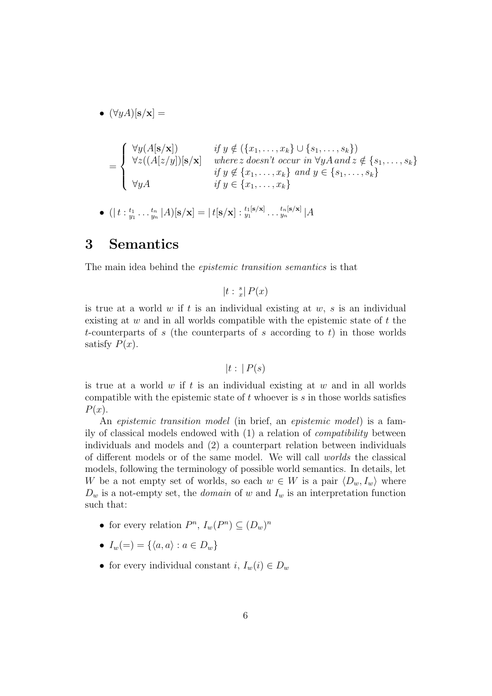$$
\bullet \ (\forall y A) [\mathbf{s}/\mathbf{x}] =
$$

$$
= \begin{cases} \forall y(A[\mathbf{s}/\mathbf{x}]) & \text{if } y \notin (\{x_1, \dots, x_k\} \cup \{s_1, \dots, s_k\}) \\ \forall z((A[z/y])[\mathbf{s}/\mathbf{x}] & \text{where } z \text{ doesn't occur in } \forall yA \text{ and } z \notin \{s_1, \dots, s_k\} \\ \forall yA & \text{if } y \in \{x_1, \dots, x_k\} \text{ and } y \in \{s_1, \dots, s_k\} \end{cases}
$$

 $\bullet \ \ (|\ t :^{t_1}_{y_1} \dots {}^{t_n}_{y_n} |A) [\mathbf{s} / \mathbf{x}] = |\ t [\mathbf{s} / \mathbf{x}] :^{t_1 [\mathbf{s} / \mathbf{x}]}_{y_1} \dots {}^{t_n [\mathbf{s} / \mathbf{x}]}_{y_n} |A$ 

## 3 Semantics

The main idea behind the epistemic transition semantics is that

 $|t : \frac{s}{x}| P(x)$ 

is true at a world  $w$  if  $t$  is an individual existing at  $w$ ,  $s$  is an individual existing at  $w$  and in all worlds compatible with the epistemic state of  $t$  the t-counterparts of s (the counterparts of s according to t) in those worlds satisfy  $P(x)$ .

$$
|t:|P(s)|
$$

is true at a world  $w$  if  $t$  is an individual existing at  $w$  and in all worlds compatible with the epistemic state of  $t$  whoever is  $s$  in those worlds satisfies  $P(x)$ .

An *epistemic transition model* (in brief, an *epistemic model*) is a family of classical models endowed with (1) a relation of compatibility between individuals and models and (2) a counterpart relation between individuals of different models or of the same model. We will call worlds the classical models, following the terminology of possible world semantics. In details, let W be a not empty set of worlds, so each  $w \in W$  is a pair  $\langle D_w, I_w \rangle$  where  $D_w$  is a not-empty set, the *domain* of w and  $I_w$  is an interpretation function such that:

- for every relation  $P^n$ ,  $I_w(P^n) \subseteq (D_w)^n$
- $I_w(=) = \{\langle a, a \rangle : a \in D_w\}$
- for every individual constant  $i, I_w(i) \in D_w$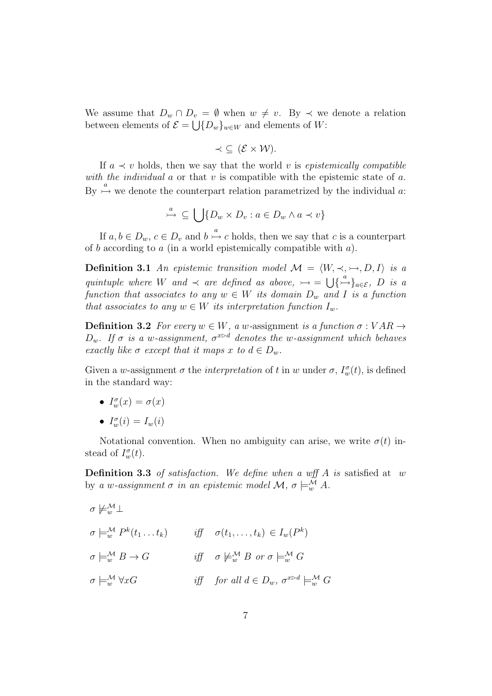We assume that  $D_w \cap D_v = \emptyset$  when  $w \neq v$ . By  $\prec$  we denote a relation between elements of  $\mathcal{E} = \bigcup \{D_w\}_{w \in W}$  and elements of W:

$$
\prec \subseteq (\mathcal{E} \times \mathcal{W}).
$$

If  $a \prec v$  holds, then we say that the world v is epistemically compatible with the individual  $\alpha$  or that  $\nu$  is compatible with the epistemic state of  $\alpha$ . By  $\stackrel{a}{\rightarrow}$  we denote the counterpart relation parametrized by the individual a:

$$
\stackrel{a}{\rightarrow} \subseteq \bigcup \{ D_w \times D_v : a \in D_w \land a \prec v \}
$$

If  $a, b \in D_w$ ,  $c \in D_v$  and  $b \stackrel{a}{\rightarrow} c$  holds, then we say that c is a counterpart of b according to a (in a world epistemically compatible with  $a$ ).

**Definition 3.1** An epistemic transition model  $\mathcal{M} = \langle W, \prec, \rightarrow, D, I \rangle$  is a quintuple where W and  $\prec$  are defined as above,  $\rightarrow$  =  $\bigcup{\{\rightarrow}^a\}_{a \in \mathcal{E}}$ , D is a function that associates to any  $w \in W$  its domain  $D_w$  and I is a function that associates to any  $w \in W$  its interpretation function  $I_w$ .

**Definition 3.2** For every  $w \in W$ , a w-assignment is a function  $\sigma : VAR \rightarrow$  $D_w$ . If  $\sigma$  is a w-assignment,  $\sigma^{x \triangleright d}$  denotes the w-assignment which behaves exactly like  $\sigma$  except that it maps x to  $d \in D_w$ .

Given a w-assignment  $\sigma$  the *interpretation* of t in w under  $\sigma$ ,  $I_w^{\sigma}(t)$ , is defined in the standard way:

- $I_w^{\sigma}(x) = \sigma(x)$
- $I_w^{\sigma}(i) = I_w(i)$

Notational convention. When no ambiguity can arise, we write  $\sigma(t)$  instead of  $I_w^{\sigma}(t)$ .

**Definition 3.3** of satisfaction. We define when a wff A is satisfied at w by a w-assignment  $\sigma$  in an epistemic model  $\mathcal{M}, \sigma \models_{w}^{\mathcal{M}} A$ .

$$
\sigma \not\models_w^{\mathcal{M}} \bot
$$
  
\n
$$
\sigma \not\models_w^{\mathcal{M}} P^k(t_1 \dots t_k) \qquad \text{iff} \quad \sigma(t_1, \dots, t_k) \in I_w(P^k)
$$
  
\n
$$
\sigma \not\models_w^{\mathcal{M}} B \to G \qquad \text{iff} \quad \sigma \not\models_w^{\mathcal{M}} B \text{ or } \sigma \not\models_w^{\mathcal{M}} G
$$
  
\n
$$
\sigma \not\models_w^{\mathcal{M}} \forall xG \qquad \text{iff} \quad \text{for all } d \in D_w, \ \sigma^{x \triangleright d} \not\models_w^{\mathcal{M}} G
$$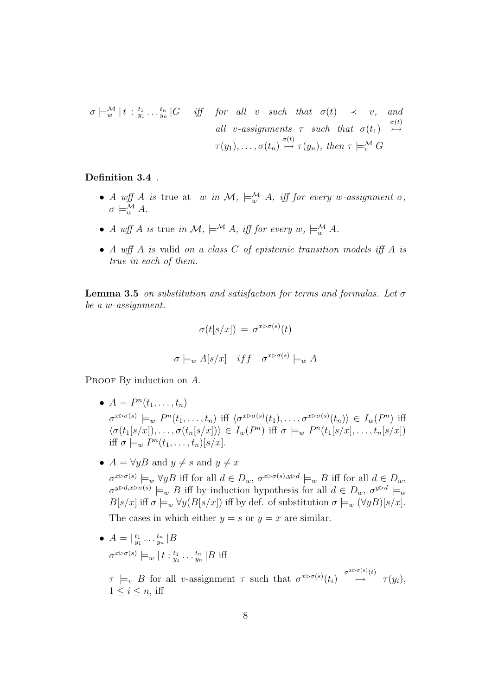$$
\sigma \models_w^{\mathcal{M}} \mid t : \, \, \begin{array}{c}\n \begin{array}{ccccccc}\n t_1 & t_1 & \ldots & t_n \\
\downarrow & t_n & \ldots & t_n\n \end{array}\n \end{array} \quad \text{for all} \quad v \quad such \quad that \quad \sigma(t) \quad \prec \quad v, \quad and
$$
\n
$$
\text{all} \quad v\text{-}assigaments \quad \tau \quad such \quad that \quad \sigma(t_1) \quad \stackrel{\sigma(t)}{\rightarrow} \quad
$$
\n
$$
\tau(y_1), \ldots, \sigma(t_n) \stackrel{\sigma(t)}{\rightarrow} \tau(y_n), \quad then \quad \tau \models_w^{\mathcal{M}} G
$$

Definition 3.4 .

- A wff A is true at w in  $\mathcal{M}, \models_{w}^{\mathcal{M}} A$ , iff for every w-assignment  $\sigma$ ,  $\sigma \models^{\mathcal{M}}_{w} A$ .
- A wff A is true in  $\mathcal{M}, \models^{\mathcal{M}} A$ , iff for every  $w, \models^{\mathcal{M}}_{w} A$ .
- A wff A is valid on a class C of epistemic transition models iff A is true in each of them.

**Lemma 3.5** on substitution and satisfaction for terms and formulas. Let  $\sigma$ be a w-assignment.

$$
\sigma(t[s/x]) = \sigma^{x \triangleright \sigma(s)}(t)
$$

$$
\sigma \models_w A[s/x] \quad iff \quad \sigma^{x \triangleright \sigma(s)} \models_w A
$$

PROOF By induction on A.

- $A = P^n(t_1, ..., t_n)$  $\sigma^{x \triangleright \sigma(s)} \models_w P^n(t_1,\ldots,t_n) \text{ iff } \langle \sigma^{x \triangleright \sigma(s)}(t_1),\ldots,\sigma^{x \triangleright \sigma(s)}(t_n) \rangle \in I_w(P^n) \text{ iff }$  $\langle \sigma(t_1[s/x]), \ldots, \sigma(t_n[s/x]) \rangle \in I_w(P^n)$  iff  $\sigma \models_w P^n(t_1[s/x], \ldots, t_n[s/x])$ iff  $\sigma \models_w P^n(t_1,\ldots,t_n)[s/x].$
- $A = \forall y B \text{ and } y \neq s \text{ and } y \neq x$

 $\sigma^{x \triangleright \sigma(s)} \models_w \forall y B$  iff for all  $d \in D_w$ ,  $\sigma^{x \triangleright \sigma(s), y \triangleright d} \models_w B$  iff for all  $d \in D_w$ ,  $\sigma^{y \triangleright d, x \triangleright \sigma(s)} \models_w B$  iff by induction hypothesis for all  $d \in D_w$ ,  $\sigma^{y \triangleright d} \models_w B$  $B[s/x]$  iff  $\sigma \models_w \forall y (B[s/x])$  iff by def. of substitution  $\sigma \models_w (\forall y B)[s/x]$ . The cases in which either  $y = s$  or  $y = x$  are similar.

 $A = \begin{vmatrix} t_1 & \dots & t_n \\ y_1 & \dots & y_n \end{vmatrix}$  B  $\sigma^{x \triangleright \sigma(s)} \models_w \{t : \frac{t_1}{y_1} \dots \frac{t_n}{y_n} | B \text{ iff }$  $\tau \models_v B$  for all v-assignment  $\tau$  such that  $\sigma^{x \triangleright \sigma(s)}(t_i) \stackrel{\sigma^{x \triangleright \sigma(s)}(t)}{\rightarrow} \tau(y_i)$ ,  $1 \leq i \leq n$ , iff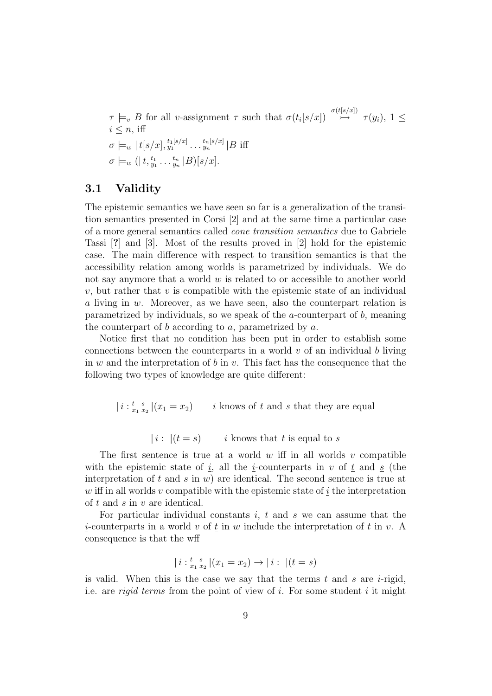$\tau \models_v B$  for all v-assignment  $\tau$  such that  $\sigma(t_i[s/x]) \stackrel{\sigma(t[s/x])}{\rightarrow} \tau(y_i), 1 \leq$  $i \leq n$ , iff  $\sigma \models_w |t[s/x], \tiny \begin{matrix} t_1[s/x] \end{matrix} \dots \begin{matrix} t_n[s/x] \end{matrix} | B \text{ iff}$  $\sigma \models_w (| t, \frac{t_1}{y_1} \dots \frac{t_n}{y_n} |B) [s/x].$ 

### 3.1 Validity

The epistemic semantics we have seen so far is a generalization of the transition semantics presented in Corsi [2] and at the same time a particular case of a more general semantics called cone transition semantics due to Gabriele Tassi [?] and [3]. Most of the results proved in [2] hold for the epistemic case. The main difference with respect to transition semantics is that the accessibility relation among worlds is parametrized by individuals. We do not say anymore that a world  $w$  is related to or accessible to another world  $v$ , but rather that  $v$  is compatible with the epistemic state of an individual a living in w. Moreover, as we have seen, also the counterpart relation is parametrized by individuals, so we speak of the a-counterpart of b, meaning the counterpart of b according to  $a$ , parametrized by  $a$ .

Notice first that no condition has been put in order to establish some connections between the counterparts in a world  $v$  of an individual b living in  $w$  and the interpretation of  $b$  in  $v$ . This fact has the consequence that the following two types of knowledge are quite different:

 $|i:_{x_1}^{t} s_{x_1}|(x_1 = x_2)$  i knows of t and s that they are equal

| i :  $|(t = s)$  i knows that t is equal to s

The first sentence is true at a world  $w$  iff in all worlds  $v$  compatible with the epistemic state of i, all the i-counterparts in v of t and s (the interpretation of t and s in  $w$ ) are identical. The second sentence is true at w iff in all worlds v compatible with the epistemic state of  $\underline{i}$  the interpretation of t and s in v are identical.

For particular individual constants  $i, t$  and  $s$  we can assume that the *i*-counterparts in a world v of  $\underline{t}$  in w include the interpretation of t in v. A consequence is that the wff

$$
|i:_{x_1}^{t} {}_{x_2}^{s} | (x_1 = x_2) \rightarrow |i: | (t = s)
$$

is valid. When this is the case we say that the terms  $t$  and  $s$  are  $i$ -rigid, i.e. are rigid terms from the point of view of i. For some student i it might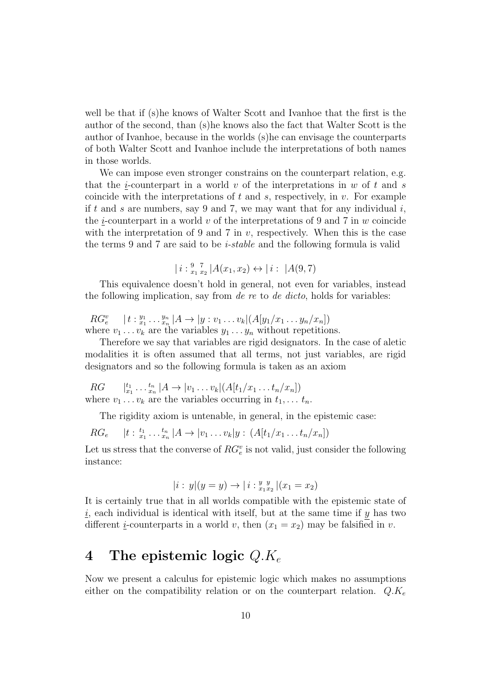well be that if (s)he knows of Walter Scott and Ivanhoe that the first is the author of the second, than (s)he knows also the fact that Walter Scott is the author of Ivanhoe, because in the worlds (s)he can envisage the counterparts of both Walter Scott and Ivanhoe include the interpretations of both names in those worlds.

We can impose even stronger constrains on the counterpart relation, e.g. that the *i*-counterpart in a world  $v$  of the interpretations in  $w$  of  $t$  and  $s$ coincide with the interpretations of t and s, respectively, in  $v$ . For example if t and s are numbers, say 9 and 7, we may want that for any individual  $i$ , the *i*-counterpart in a world v of the interpretations of 9 and 7 in w coincide with the interpretation of 9 and 7 in  $v$ , respectively. When this is the case the terms 9 and 7 are said to be i-stable and the following formula is valid

$$
| i :_{x_1}^{9} \underset{x_2}{\overset{7}{\cdot}} | A(x_1, x_2) \leftrightarrow | i : | A(9, 7)
$$

This equivalence doesn't hold in general, not even for variables, instead the following implication, say from *de re* to *de dicto*, holds for variables:

 $RG_e^v \quad |t :_{x_1}^{y_1} \ldots_{x_n}^{y_n} |A \to |y : v_1 \ldots v_k |(A[y_1/x_1 \ldots y_n/x_n])$ where  $v_1 \ldots v_k$  are the variables  $y_1 \ldots y_n$  without repetitions.

Therefore we say that variables are rigid designators. In the case of aletic modalities it is often assumed that all terms, not just variables, are rigid designators and so the following formula is taken as an axiom

 $RG \t l_{x_1}^{t_1} \t ... \t_{x_n}^{t_n} | A \to |v_1 ... v_k| (A[t_1/x_1 ... t_n/x_n])$ where  $v_1 \ldots v_k$  are the variables occurring in  $t_1, \ldots t_n$ .

The rigidity axiom is untenable, in general, in the epistemic case:

$$
RG_e \t | t :_{x_1}^{t_1} \dots {t_n} | A \to | v_1 \dots v_k | y : (A[t_1/x_1 \dots t_n/x_n])
$$

Let us stress that the converse of  $RG_e^v$  is not valid, just consider the following instance:

$$
|i: y|(y=y) \to |i: \frac{y}{x_1 x_2} | (x_1 = x_2)
$$

It is certainly true that in all worlds compatible with the epistemic state of i, each individual is identical with itself, but at the same time if  $y$  has two different *i*-counterparts in a world v, then  $(x_1 = x_2)$  may be falsified in v.

## 4 The epistemic logic  $Q.K_e$

Now we present a calculus for epistemic logic which makes no assumptions either on the compatibility relation or on the counterpart relation.  $Q.K_e$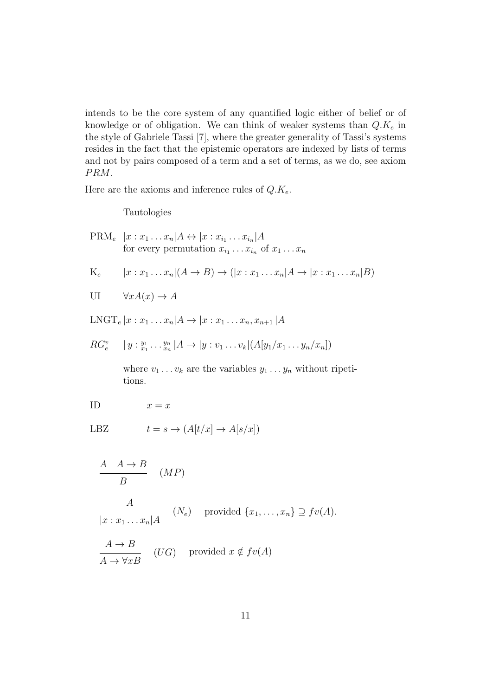intends to be the core system of any quantified logic either of belief or of knowledge or of obligation. We can think of weaker systems than  $Q.K_e$  in the style of Gabriele Tassi [7], where the greater generality of Tassi's systems resides in the fact that the epistemic operators are indexed by lists of terms and not by pairs composed of a term and a set of terms, as we do, see axiom  $PRM$ .

Here are the axioms and inference rules of  $Q.K_e$ .

Tautologies

PRM<sub>e</sub> 
$$
|x : x_1 \dots x_n|A \leftrightarrow |x : x_{i_1} \dots x_{i_n}|A
$$
 for every permutation  $x_{i_1} \dots x_{i_n}$  of  $x_1 \dots x_n$ 

\nK<sub>e</sub>  $|x : x_1 \dots x_n|(A \to B) \to (|x : x_1 \dots x_n|A \to |x : x_1 \dots x_n|B)$ 

\nUI  $\forall x A(x) \to A$ 

\nLNGT<sub>e</sub>  $|x : x_1 \dots x_n|A \to |x : x_1 \dots x_n, x_{n+1}|A$ 

\nRG<sub>e</sub><sup>v</sup>  $|y : \frac{y_1}{x_1} \dots \frac{y_n}{x_n}|A \to |y : v_1 \dots v_k|(A[y_1/x_1 \dots y_n/x_n])$  where  $v_1 \dots v_k$  are the variables  $y_1 \dots y_n$  without repetitions.

\nID  $x = x$ 

\nLBZ  $t = s \to (A[t/x] \to A[s/x])$ 

\n $\frac{A \rightarrow B}{B}$   $(MP)$ 

\n $\frac{A}{|x : x_1 \dots x_n|A}$   $(N_e)$  provided  $\{x_1, \dots, x_n\} \supseteq f(v(A))$ 

\n $\frac{A \to B}{A \to \forall x B}$   $(UG)$  provided  $x \notin f(v(A))$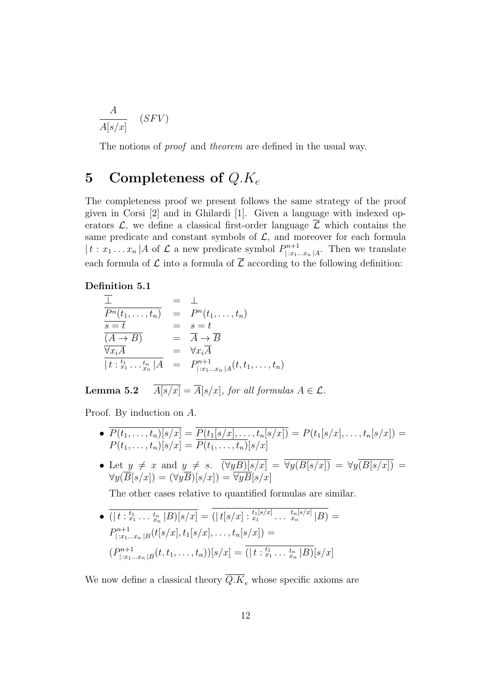$$
\frac{A}{A[s/x]} \quad (SFV)
$$

The notions of *proof* and *theorem* are defined in the usual way.

## 5 Completeness of  $Q.K_e$

The completeness proof we present follows the same strategy of the proof given in Corsi [2] and in Ghilardi [1]. Given a language with indexed operators  $\mathcal{L}$ , we define a classical first-order language  $\overline{\mathcal{L}}$  which contains the same predicate and constant symbols of  $\mathcal{L}$ , and moreover for each formula  $|t : x_1 ... x_n|$  *A* of  $\mathcal L$  a new predicate symbol  $P_{\lfloor x_1 \rfloor}^{n+1}$  $\sum_{i=x_1...x_n}^{n+1}$  Then we translate each formula of  $\mathcal L$  into a formula of  $\overline{\mathcal L}$  according to the following definition:

### Definition 5.1

$$
\frac{\overline{\perp}}{P^n(t_1,\ldots,t_n)} = \perp
$$
\n
$$
\frac{P^n(t_1,\ldots,t_n)}{s=t} = \frac{P^n(t_1,\ldots,t_n)}{s=t}
$$
\n
$$
\frac{\overline{(A\rightarrow B)}}{s=t} = \overline{A\rightarrow B}
$$
\n
$$
\frac{\forall x_i \overline{A}}{t:\, t_1 \ldots t_n | A} = P^{n+1}_{\mid x_1 \ldots x_n | A}(t, t_1,\ldots,t_n)
$$

**Lemma 5.2**  $\overline{A[s/x]} = \overline{A}[s/x]$ , for all formulas  $A \in \mathcal{L}$ .

Proof. By induction on A.

- $P(t_1, ..., t_n)[s/x] = P(t_1[s/x], ..., t_n[s/x]) = P(t_1[s/x], ..., t_n[s/x]) =$  $P(t_1, ..., t_n)[s/x] = P(t_1, ..., t_n)[s/x]$
- Let  $y \neq x$  and  $y \neq s$ .  $(\forall yB)[s/x] = \forall y(B[s/x]) = \forall y(B[s/x])$  =  $\forall y(B[s/x]) = (\forall yB)[s/x]) = \forall yB[s/x]$

The other cases relative to quantified formulas are similar.

 $\bullet$   $\overline{(|t :_{x_1}^{t_1} \dots \, _{x_n}^{t_n}|B)[s/x]} = (|t[s/x] :_{x_1}^{t_1[s/x]} \dots \, _{x_n}^{t_n[s/x]}|B) =$  $P^{n+1}_{\perp n_1}$  $|f^{n+1}_{|:x_1...x_n|B}(t[s/x],t_1[s/x],\ldots,t_n[s/x])=$  $(P^{n+1}_{\perp r}$  $\sum_{j=x_1...x_n|B}^{m+1}(t,t_1,...,t_n))[s/x] = (|t:_{x_1}^{t_1}...:_{x_n}^{t_n}|B)[s/x]$ 

We now define a classical theory  $\overline{Q.K}_e$  whose specific axioms are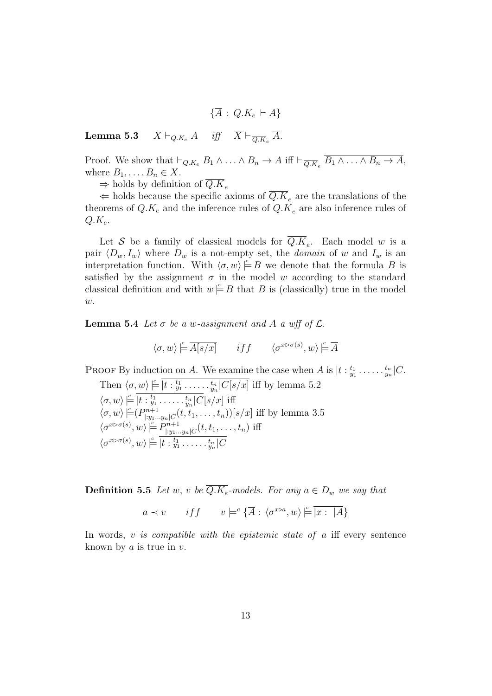$$
\{\overline{A}\,:\,Q.K_e\,\vdash A\}
$$

**Lemma 5.3**  $X \vdash_{Q.K_e} A$  *iff*  $X \vdash_{\overline{Q.K_e}} A$ .

Proof. We show that  $\vdash_{Q.K_e} B_1 \wedge \ldots \wedge B_n \to A$  iff  $\vdash_{\overline{Q.K_e}} B_1 \wedge \ldots \wedge B_n \to A$ , where  $B_1, \ldots, B_n \in X$ .

 $\Rightarrow$  holds by definition of  $Q.K_e$ 

← holds because the specific axioms of  $\overline{Q.K}_e$  are the translations of the theorems of  $Q.K_e$  and the inference rules of  $\overline{Q.K}_e$  are also inference rules of  $Q.K_e$ .

Let S be a family of classical models for  $Q.K_e$ . Each model w is a pair  $\langle D_w, I_w \rangle$  where  $D_w$  is a not-empty set, the *domain* of w and  $I_w$  is an interpretation function. With  $\langle \sigma, w \rangle \models B$  we denote that the formula B is satisfied by the assignment  $\sigma$  in the model w according to the standard classical definition and with  $w \not\models B$  that B is (classically) true in the model  $w$ .

**Lemma 5.4** Let  $\sigma$  be a w-assignment and A a wff of  $\mathcal{L}$ .

$$
\langle \sigma, w \rangle \stackrel{c}{\models} \overline{A[s/x]} \qquad iff \qquad \langle \sigma^{x \triangleright \sigma(s)}, w \rangle \stackrel{c}{\models} \overline{A}
$$

PROOF By induction on A. We examine the case when A is  $|t: \frac{t_1}{y_1} \ldots \ldots \frac{t_n}{y_n}|C$ . Then  $\langle \sigma, w \rangle \stackrel{c}{\models} \overline{|t :_{y_1}^{t_1} \ldots \ldots \cdot_{y_n}^{t_n}|C[s/x]}$  iff by lemma 5.2  $\langle \sigma, w \rangle \stackrel{c}{=} \overline{\left[t :_{y_1}^{t_1} \ldots \ldots \cdot_{y_n}^{t_n} \right]}\overline{C}\left[s/x\right]$  iff  $\langle \sigma, w \rangle \in P_{\square u}^{n+1}$  $|_{[y_1...y_n]C}^{m+1}(t,t_1,...,t_n))[s/x]$  iff by lemma 3.5  $\langle \sigma^{x \triangleright \sigma(s)}, w \rangle \stackrel{c}{=} P^{n+1}_{\square_{\sigma(s)}}$  $\lim_{|y_1...y_n|C}(t,t_1,\ldots,t_n)$  iff  $\langle \sigma^{x \triangleright \sigma(s)}, w \rangle \stackrel{c}{\models} \overline{|t :_{y_1}^{t_1} \ldots \ldots \cdot_{y_n}^{t_n}|C}$ 

**Definition 5.5** Let w, v be  $\overline{Q.K_e}$ -models. For any  $a \in D_w$  we say that

$$
a \prec v
$$
 if  $f$   $v \models^c {\overline{A}} : \langle \sigma^{x \triangleright a}, w \rangle \models \overline{|x : |A|}$ 

In words,  $v$  is compatible with the epistemic state of  $a$  iff every sentence known by  $a$  is true in  $v$ .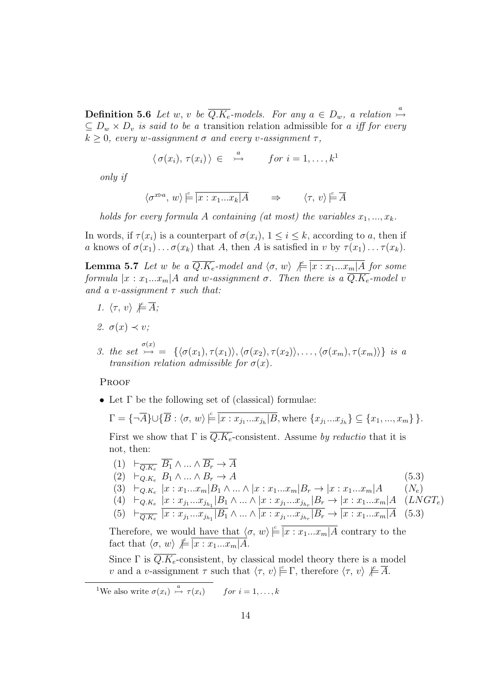**Definition 5.6** Let w, v be  $\overline{Q.K_e}$ -models. For any  $a \in D_w$ , a relation  $\stackrel{a}{\mapsto}$  $\subseteq D_w \times D_v$  is said to be a transition relation admissible for a iff for every  $k \geq 0$ , every w-assignment  $\sigma$  and every v-assignment  $\tau$ ,

$$
\langle \sigma(x_i), \tau(x_i) \rangle \in \stackrel{a}{\rightarrow} \text{ for } i = 1, \ldots, k^1
$$

only if

$$
\langle \sigma^{x\triangleright a}, w \rangle \models \overline{|x : x_1...x_k|A} \qquad \Rightarrow \qquad \langle \tau, v \rangle \models \overline{A}
$$

holds for every formula A containing (at most) the variables  $x_1, ..., x_k$ .

In words, if  $\tau(x_i)$  is a counterpart of  $\sigma(x_i)$ ,  $1 \leq i \leq k$ , according to a, then if a knows of  $\sigma(x_1) \ldots \sigma(x_k)$  that A, then A is satisfied in v by  $\tau(x_1) \ldots \tau(x_k)$ .

**Lemma 5.7** Let w be a  $\overline{Q.K_e}$ -model and  $\langle \sigma, w \rangle \not\models \overline{|x : x_1...x_m|A}$  for some formula  $|x : x_1...x_m|A$  and w-assignment  $\sigma$ . Then there is a  $\overline{Q.K_e}$ -model v and a v-assignment  $\tau$  such that:

- 1.  $\langle \tau, v \rangle \not\models \overline{A};$
- 2.  $\sigma(x) \prec v$ ;
- 3. the set  $\stackrel{\sigma(x)}{\rightarrow} = {\{\langle \sigma(x_1), \tau(x_1) \rangle, \langle \sigma(x_2), \tau(x_2) \rangle, \ldots, \langle \sigma(x_m), \tau(x_m) \rangle \}}$  is a transition relation admissible for  $\sigma(x)$ .

#### **PROOF**

• Let Γ be the following set of (classical) formulae:

$$
\Gamma = \{\neg \overline{A}\} \cup \{\overline{B} : \langle \sigma, w \rangle \models \overline{|x : x_{j_1}...x_{j_h}|B}, \text{where } \{x_{j_1}...x_{j_h}\} \subseteq \{x_1, ..., x_m\} \}.
$$

First we show that  $\Gamma$  is  $\overline{Q.K_e}$ -consistent. Assume by reductio that it is not, then:

- $(1) \quad \vdash_{\overline{Q.K_e}} \overline{B_1} \wedge ... \wedge \overline{B_r} \rightarrow \overline{A}$  $(2) \quad \vdash_{Q,K_e} B_1 \wedge \ldots \wedge B_r \rightarrow A$  (5.3)
- (3)  $\vdash_{Q.K_e} |x : x_1...x_m| B_1 \wedge ... \wedge |x : x_1...x_m| B_r \rightarrow |x : x_1...x_m| A$  (Ne)
- (4)  $\vdash_{Q.K_e} \frac{|x : x_{j_1}...x_{j_{h_1}}|B_1}{|x : x_{j_1}...x_{j_{h_r}}|B_r} \to \frac{|x : x_1...x_m|A}{|x : x_1...x_m|A}$  (*LNGT<sub>e</sub>*)

$$
(5) \quad \vdash_{\overline{Q.K_e}} |x:x_{j_1}...x_{j_{h_1}}|B_1 \wedge ... \wedge |x:x_{j_1}...x_{j_{h_r}}|B_r \rightarrow |x:x_1...x_m|A \quad (5.3)
$$

Therefore, we would have that  $\langle \sigma, w \rangle \stackrel{c}{\models} \overline{|x : x_1...x_m|}$  contrary to the fact that  $\langle \sigma, w \rangle \notin \overline{|x : x_1...x_m|A}$ .

Since  $\Gamma$  is  $\overline{Q.K_e}$ -consistent, by classical model theory there is a model v and a v-assignment  $\tau$  such that  $\langle \tau, v \rangle \models \Gamma$ , therefore  $\langle \tau, v \rangle \not\models \overline{A}$ .

<sup>1</sup>We also write  $\sigma(x_i) \stackrel{a}{\rightarrow} \tau(x_i)$  for  $i = 1, ..., k$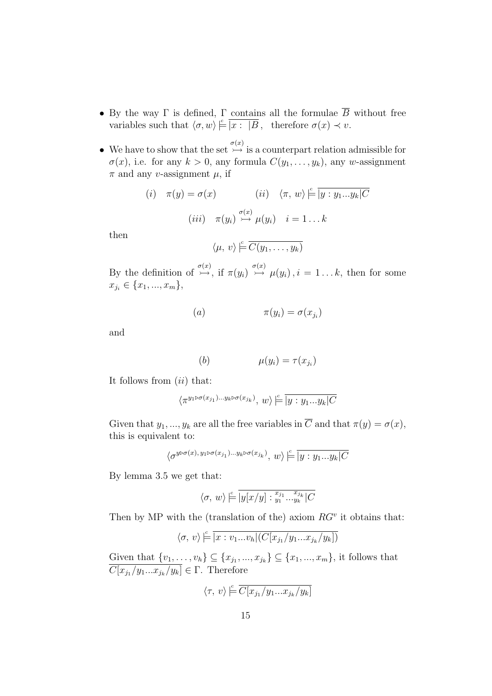- By the way  $\Gamma$  is defined,  $\Gamma$  contains all the formulae  $\overline{B}$  without free variables such that  $\langle \sigma, w \rangle \models \boxed{x : |B}$ , therefore  $\sigma(x) \prec v$ .
- We have to show that the set  $\stackrel{\sigma(x)}{\rightarrow}$  is a counterpart relation admissible for  $\sigma(x)$ , i.e. for any  $k > 0$ , any formula  $C(y_1, \ldots, y_k)$ , any w-assignment  $\pi$  and any v-assignment  $\mu$ , if

$$
(i) \quad \pi(y) = \sigma(x) \qquad (ii) \quad \langle \pi, w \rangle \stackrel{\mathbb{c}}{=} \overline{|y : y_1...y_k|C}
$$

$$
(iii) \quad \pi(y_i) \stackrel{\sigma(x)}{\rightarrow} \mu(y_i) \quad i = 1...k
$$

then

$$
\langle \mu, v \rangle \models \overline{C(y_1, \ldots, y_k)}
$$

By the definition of  $\stackrel{\sigma(x)}{\rightarrow}$ , if  $\pi(y_i) \stackrel{\sigma(x)}{\rightarrow} \mu(y_i)$ ,  $i = 1...k$ , then for some  $x_{j_i} \in \{x_1, ..., x_m\},\$ 

$$
(a) \qquad \qquad \pi(y_i) = \sigma(x_{j_i})
$$

and

(b) 
$$
\mu(y_i) = \tau(x_{j_i})
$$

It follows from  $(ii)$  that:

$$
\langle \pi^{y_1 \triangleright \sigma(x_{j_1}) \dots y_k \triangleright \sigma(x_{j_k})}, w \rangle \overset{\scriptscriptstyle \mathrm{e}}{\models} \overline{ |y:y_1 ... y_k| C}
$$

Given that  $y_1, ..., y_k$  are all the free variables in  $\overline{C}$  and that  $\pi(y) = \sigma(x)$ , this is equivalent to:

$$
\langle \sigma^{y \triangleright \sigma(x), y_1 \triangleright \sigma(x_{j_1}) \dots y_k \triangleright \sigma(x_{j_k})}, w \rangle \stackrel{c}{\models} \boxed{y : y_1 \dots y_k | C}
$$

By lemma 3.5 we get that:

$$
\langle \sigma, w \rangle \stackrel{c}{\models} \boxed{y[x/y] :_{y_1}^{x_{j_1}} \dots_{y_k}^{x_{j_k}} \mid C}
$$

Then by MP with the (translation of the) axiom  $RG<sup>v</sup>$  it obtains that:

$$
\langle \sigma, v \rangle \stackrel{c}{=} \boxed{x : v_1...v_h[(C[x_{j_1}/y_1...x_{j_k}/y_k])]}
$$

Given that  $\{v_1, \ldots, v_h\} \subseteq \{x_{j_1}, \ldots, x_{j_k}\} \subseteq \{x_1, \ldots, x_m\}$ , it follows that  $C[x_{j_1}/y_1...x_{j_k}/y_k] \in \Gamma$ . Therefore

$$
\langle \tau, v \rangle \stackrel{c}{=} \overline{C[x_{j_1}/y_1...x_{j_k}/y_k]}
$$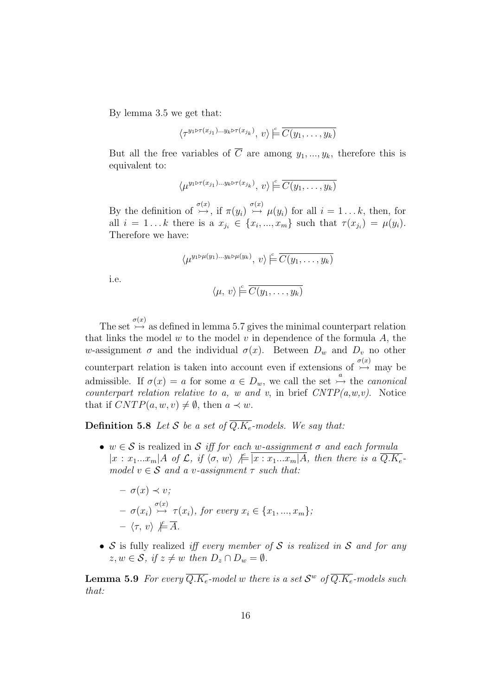By lemma 3.5 we get that:

$$
\langle \tau^{y_1 \triangleright \tau(x_{j_1}) \dots y_k \triangleright \tau(x_{j_k})}, v \rangle \models \overline{C(y_1, \dots, y_k)}
$$

But all the free variables of  $\overline{C}$  are among  $y_1, ..., y_k$ , therefore this is equivalent to:

$$
\langle \mu^{y_1 \triangleright \tau(x_{j_1}) \dots y_k \triangleright \tau(x_{j_k})}, v \rangle \models \overline{C(y_1, \dots, y_k)}
$$

By the definition of  $\stackrel{\sigma(x)}{\rightarrow}$ , if  $\pi(y_i) \stackrel{\sigma(x)}{\rightarrow} \mu(y_i)$  for all  $i = 1...k$ , then, for all  $i = 1...k$  there is a  $x_{j_i} \in \{x_i, ..., x_m\}$  such that  $\tau(x_{j_i}) = \mu(y_i)$ . Therefore we have:

$$
\langle \mu^{y_1 \triangleright \mu(y_1) \dots y_k \triangleright \mu(y_k)}, v \rangle \models \overline{C(y_1, \dots, y_k)}
$$

i.e.

$$
\langle \mu, v \rangle \models \overline{C(y_1, \ldots, y_k)}
$$

The set  $\overline{\phi}(x)$  as defined in lemma 5.7 gives the minimal counterpart relation that links the model  $w$  to the model  $v$  in dependence of the formula  $A$ , the w-assignment  $\sigma$  and the individual  $\sigma(x)$ . Between  $D_w$  and  $D_v$  no other counterpart relation is taken into account even if extensions of  $\overset{\sigma(x)}{\rightarrow}$  may be admissible. If  $\sigma(x) = a$  for some  $a \in D_w$ , we call the set  $\stackrel{a}{\rightarrow}$  the *canonical* counterpart relation relative to a, w and v, in brief  $CNTP(a,w,v)$ . Notice that if  $CNTP(a, w, v) \neq \emptyset$ , then  $a \prec w$ .

**Definition 5.8** Let S be a set of  $\overline{Q.K_e}$ -models. We say that:

•  $w \in S$  is realized in S iff for each w-assignment  $\sigma$  and each formula  $|x: x_1...x_m|$  *A* of  $\mathcal{L}$ , if  $\langle \sigma, w \rangle \not\models \boxed{x: x_1...x_m|A}$ , then there is a  $\overline{Q.K_e}$ . model  $v \in \mathcal{S}$  and a v-assignment  $\tau$  such that:

$$
- \sigma(x) \prec v;
$$
  
\n
$$
- \sigma(x_i) \stackrel{\sigma(x)}{\rightarrow} \tau(x_i), \text{ for every } x_i \in \{x_1, ..., x_m\};
$$
  
\n
$$
- \langle \tau, v \rangle \not\models \overline{A}.
$$

•  $S$  is fully realized *iff every member of*  $S$  *is realized in*  $S$  *and for any*  $z, w \in \mathcal{S}, \text{ if } z \neq w \text{ then } D_z \cap D_w = \emptyset.$ 

**Lemma 5.9** For every  $\overline{Q.K_e}$ -model w there is a set  $\mathcal{S}^w$  of  $\overline{Q.K_e}$ -models such that: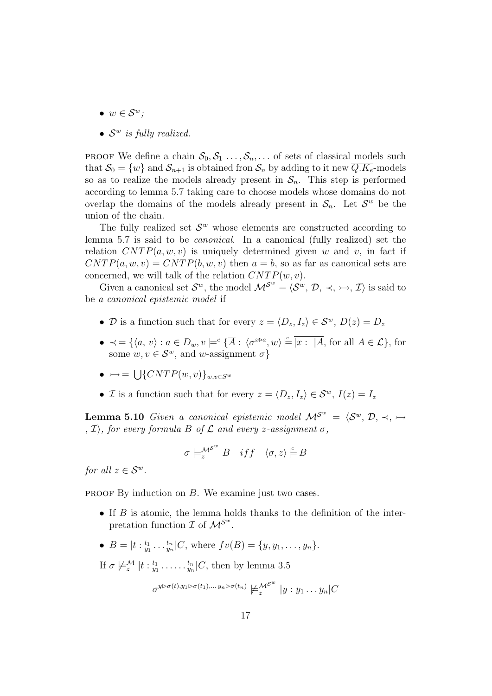- $w \in \mathcal{S}^w$ ;
- $\bullet$   $S^w$  is fully realized.

**PROOF** We define a chain  $S_0, S_1, \ldots, S_n, \ldots$  of sets of classical models such that  $S_0 = \{w\}$  and  $S_{n+1}$  is obtained fron  $S_n$  by adding to it new  $\overline{Q.K_e}$ -models so as to realize the models already present in  $S_n$ . This step is performed according to lemma 5.7 taking care to choose models whose domains do not overlap the domains of the models already present in  $S_n$ . Let  $S^w$  be the union of the chain.

The fully realized set  $\mathcal{S}^w$  whose elements are constructed according to lemma 5.7 is said to be canonical. In a canonical (fully realized) set the relation  $CNTP(a, w, v)$  is uniquely determined given w and v, in fact if  $CNTP(a, w, v) = CNTP(b, w, v)$  then  $a = b$ , so as far as canonical sets are concerned, we will talk of the relation  $CNTP(w, v)$ .

Given a canonical set  $\mathcal{S}^w$ , the model  $\mathcal{M}^{\mathcal{S}^w} = \langle \mathcal{S}^w, \mathcal{D}, \prec, \rightarrow, \mathcal{I} \rangle$  is said to be a canonical epistemic model if

- D is a function such that for every  $z = \langle D_z, I_z \rangle \in \mathcal{S}^w$ ,  $D(z) = D_z$
- $\prec = \{ \langle a, v \rangle : a \in D_w, v \models^c \{ \overline{A} : \langle \sigma^{x \triangleright a}, w \rangle \models \overline{[x : [A, \text{ for all } A \in \mathcal{L} \}, \text{ for } \} \rangle \}$ some  $w, v \in \mathcal{S}^w$ , and w-assignment  $\sigma$ }
- $\bullet \rightarrow = \bigcup \{CNTP(w,v)\}_{w,v \in S^w}$
- *I* is a function such that for every  $z = \langle D_z, I_z \rangle \in \mathcal{S}^w$ ,  $I(z) = I_z$

**Lemma 5.10** Given a canonical epistemic model  $M^{\mathcal{S}^w} = \langle \mathcal{S}^w, \mathcal{D}, \prec, \rightarrow \rangle$ ,  $\mathcal{I}$ ), for every formula B of  $\mathcal{L}$  and every z-assignment  $\sigma$ ,

$$
\sigma \models^{\mathcal{M}^{\mathcal{S}^w}}_{z} B \quad \text{iff} \quad \langle \sigma, z \rangle \overset{c}{\models} \overline{B}
$$

for all  $z \in \mathcal{S}^w$ .

**PROOF** By induction on  $B$ . We examine just two cases.

- If  $B$  is atomic, the lemma holds thanks to the definition of the interpretation function  $\mathcal I$  of  $\mathcal M^{\mathcal S^w}$ .
- $B = |t :_{y_1}^{t_1} \dots \frac{t_n}{y_n}|C$ , where  $fv(B) = \{y, y_1, \dots, y_n\}.$

If  $\sigma \not\models_{z}^{\mathcal{M}} |t :_{y_1}^{t_1} \ldots \ldots \frac{t_n}{y_n}|C$ , then by lemma 3.5

σ

$$
\tau^{y \triangleright \sigma(t), y_1 \triangleright \sigma(t_1), \dots y_n \triangleright \sigma(t_n)} \not\models_{z}^{\mathcal{M}^{S^{w}}}|y:y_1 \dots y_n|C
$$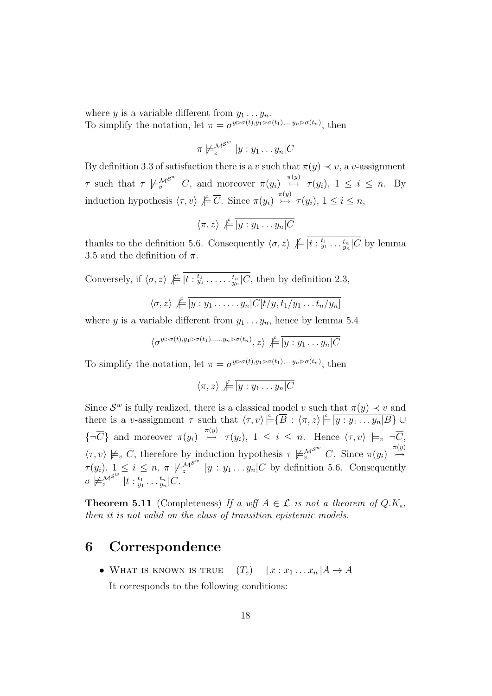where y is a variable different from  $y_1 \ldots y_n$ . To simplify the notation, let  $\pi = \sigma^{y \triangleright \sigma(t), y_1 \triangleright \sigma(t_1), \dots, y_n \triangleright \sigma(t_n)}$ , then

$$
\pi \not\models_{z}^{\mathcal{M}^{S^{w}}}|y:y_{1}\ldots y_{n}|C
$$

By definition 3.3 of satisfaction there is a v such that  $\pi(y) \prec v$ , a v-assignment  $\tau$  such that  $\tau \not\models_{v}^{\mathcal{M}^{S^w}} C$ , and moreover  $\pi(y_i) \stackrel{\pi(y)}{\rightarrow} \tau(y_i)$ ,  $1 \leq i \leq n$ . By induction hypothesis  $\langle \tau, v \rangle \not\models \overline{C}$ . Since  $\pi(y_i) \stackrel{\pi(y)}{\rightarrow} \tau(y_i)$ ,  $1 \leq i \leq n$ ,

$$
\langle \pi, z \rangle \not\models \overline{|y : y_1 \dots y_n|C}
$$

thanks to the definition 5.6. Consequently  $\langle \sigma, z \rangle \not\models \boxed{t :_{y_1}^{t_1} \ldots \frac{t_n}{y_n} \mid C}$  by lemma 3.5 and the definition of  $\pi$ .

Conversely, if  $\langle \sigma, z \rangle \not\models \overline{|t :_{y_1}^{t_1} \ldots \ldots \cdot_{y_n}^{t_n}|C}$ , then by definition 2.3,

$$
\langle \sigma, z \rangle \not\models \boxed{y : y_1 \ldots \ldots \cdot y_n | C[t/y, t_1/y_1 \ldots t_n/y_n]}
$$

where y is a variable different from  $y_1 \ldots y_n$ , hence by lemma 5.4

$$
\langle \sigma^{y \triangleright \sigma(t), y_1 \triangleright \sigma(t_1), \dots, y_n \triangleright \sigma(t_n)}, z \rangle \not\models \boxed{y : y_1 \dots y_n \mid C}
$$

To simplify the notation, let  $\pi = \sigma^{y \triangleright \sigma(t), y_1 \triangleright \sigma(t_1), \dots, y_n \triangleright \sigma(t_n)}$ , then

$$
\langle \pi, z \rangle \not\models \boxed{y : y_1 \dots y_n | C}
$$

Since  $\mathcal{S}^w$  is fully realized, there is a classical model v such that  $\pi(y) \prec v$  and there is a v-assignment  $\tau$  such that  $\langle \tau, v \rangle \triangleq \langle \overline{B} : \langle \pi, z \rangle \triangleq \overline{|y : y_1 \dots y_n|B} \} \cup$  ${\lbrace \neg \overline{C} \rbrace}$  and moreover  $\pi(y_i) \stackrel{\pi(y)}{\rightarrow} \tau(y_i)$ ,  $1 \leq i \leq n$ . Hence  $\langle \tau, v \rangle \models_v \neg \overline{C}$ ,  $\langle \tau, v \rangle \not\models_v \overline{C}$ , therefore by induction hypothesis  $\tau \not\models_v^{\mathcal{M}^{S^w}} C$ . Since  $\pi(y_i) \stackrel{\pi(y)}{\rightarrow}$  $\tau(y_i)$ ,  $1 \leq i \leq n$ ,  $\pi \not\models_{z}^{\mathcal{M}^{S^w}} |y : y_1 \dots y_n|C$  by definition 5.6. Consequently  $\sigma \not\models^{{\mathcal M}^{{\mathcal S}^w}}_z |t :_{y_1}^{t_1} \ldots {t_n \atop y_n} |C.$ 

**Theorem 5.11** (Completeness) If a wff  $A \in \mathcal{L}$  is not a theorem of  $Q.K_{\epsilon}$ . then it is not valid on the class of transition epistemic models.

## 6 Correspondence

• WHAT IS KNOWN IS TRUE  $(T_e)$   $|x : x_1 ... x_n | A \rightarrow A$ It corresponds to the following conditions: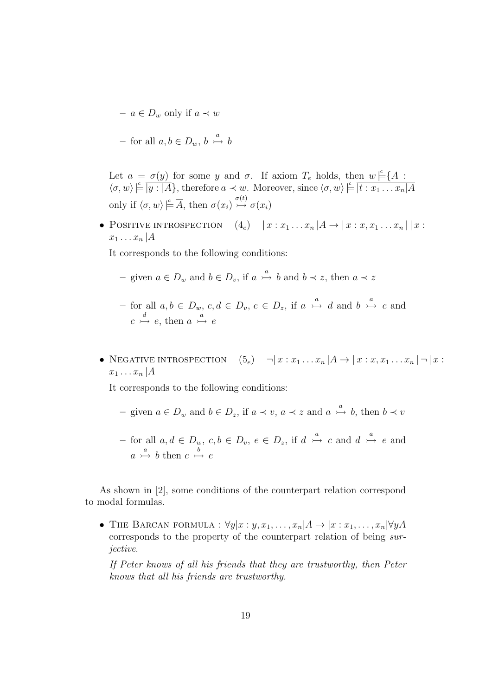$- a \in D_w$  only if  $a \prec w$ 

- for all 
$$
a, b \in D_w
$$
,  $b \stackrel{a}{\rightarrow} b$ 

Let  $a = \sigma(y)$  for some y and  $\sigma$ . If axiom  $T_e$  holds, then  $w \models {\overline{A}}$ :  $\langle \sigma, w \rangle \models \boxed{y : [A]},$  therefore  $a \prec w$ . Moreover, since  $\langle \sigma, w \rangle \models \boxed{t : x_1 \dots x_n | A}$ only if  $\langle \sigma, w \rangle \overset{c}{\models} \overline{A}$ , then  $\sigma(x_i) \overset{\sigma(t)}{\rightarrow} \sigma(x_i)$ 

• POSITIVE INTROSPECTION  $(4_e)$   $|x : x_1 ... x_n | A \rightarrow | x : x, x_1 ... x_n | | x :$  $x_1 \ldots x_n | A$ 

It corresponds to the following conditions:

- given  $a \in D_w$  and  $b \in D_v$ , if  $a \stackrel{a}{\rightarrow} b$  and  $b \prec z$ , then  $a \prec z$
- $-$  for all  $a, b \in D_w$ ,  $c, d \in D_v$ ,  $e \in D_z$ , if  $a \stackrel{a}{\rightarrowtail} d$  and  $b \stackrel{a}{\rightarrowtail} c$  and  $c \stackrel{d}{\rightarrow} e$ , then  $a \stackrel{a}{\rightarrow} e$
- NEGATIVE INTROSPECTION  $(5_e)$   $\neg | x : x_1 \dots x_n | A \rightarrow | x : x, x_1 \dots x_n | \neg | x :$  $x_1 \ldots x_n | A$

It corresponds to the following conditions:

- given  $a \in D_w$  and  $b \in D_z$ , if  $a \prec v$ ,  $a \prec z$  and  $a \stackrel{a}{\rightarrow} b$ , then  $b \prec v$
- $-$  for all  $a, d \in D_w$ ,  $c, b \in D_v$ ,  $e \in D_z$ , if  $d \stackrel{a}{\rightarrowtail} c$  and  $d \stackrel{a}{\rightarrowtail} e$  and  $a \stackrel{a}{\rightarrow} b$  then  $c \stackrel{b}{\rightarrow} e$

As shown in [2], some conditions of the counterpart relation correspond to modal formulas.

• THE BARCAN FORMULA :  $\forall y | x : y, x_1, \ldots, x_n | A \rightarrow | x : x_1, \ldots, x_n | \forall y A$ corresponds to the property of the counterpart relation of being surjective.

If Peter knows of all his friends that they are trustworthy, then Peter knows that all his friends are trustworthy.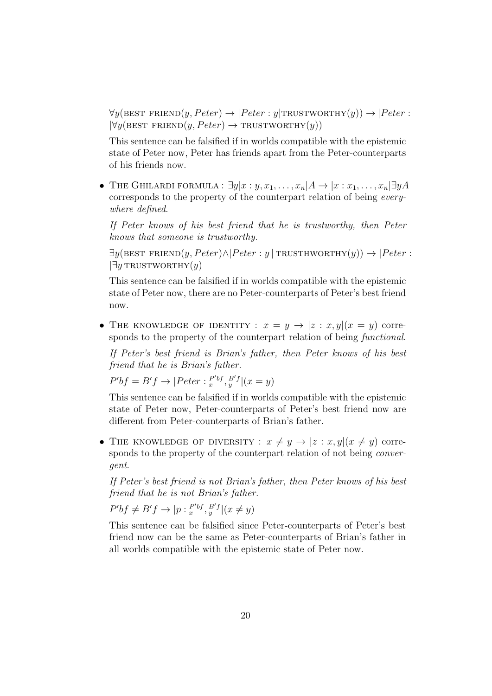$\forall y(\text{BEST FRIEND}(y, Peter) \rightarrow |Peter: y|TRYWORTHY(y)) \rightarrow |Peter:$  $\forall y(\text{BEST FRIEND}(y, Peter) \rightarrow \text{TRUSTWORTHY}(y))$ 

This sentence can be falsified if in worlds compatible with the epistemic state of Peter now, Peter has friends apart from the Peter-counterparts of his friends now.

• THE GHILARDI FORMULA :  $\exists y | x : y, x_1, \ldots, x_n | A \rightarrow | x : x_1, \ldots, x_n | \exists y A$ corresponds to the property of the counterpart relation of being everywhere defined.

If Peter knows of his best friend that he is trustworthy, then Peter knows that someone is trustworthy.

 $\exists y(\text{BEST FRIEND}(y, Peter) \land | Peter : y | TRISTHWORTHY(y)) \rightarrow |Peter :$  $\exists y$  TRUSTWORTHY $(y)$ 

This sentence can be falsified if in worlds compatible with the epistemic state of Peter now, there are no Peter-counterparts of Peter's best friend now.

• THE KNOWLEDGE OF IDENTITY :  $x = y \rightarrow |z : x, y|(x = y)$  corresponds to the property of the counterpart relation of being *functional*.

If Peter's best friend is Brian's father, then Peter knows of his best friend that he is Brian's father.

$$
P'bf = B'f \rightarrow |Peter: \frac{P'bf}{x}, \frac{B'f}{y}|(x = y)
$$

This sentence can be falsified if in worlds compatible with the epistemic state of Peter now, Peter-counterparts of Peter's best friend now are different from Peter-counterparts of Brian's father.

• THE KNOWLEDGE OF DIVERSITY :  $x \neq y \rightarrow |z : x, y|(x \neq y)$  corresponds to the property of the counterpart relation of not being *conver*gent.

If Peter's best friend is not Brian's father, then Peter knows of his best friend that he is not Brian's father.

 $P'bf \neq B'f \rightarrow [p : \frac{P'bf}{x}, \frac{B'f}{y}](x \neq y)$ 

This sentence can be falsified since Peter-counterparts of Peter's best friend now can be the same as Peter-counterparts of Brian's father in all worlds compatible with the epistemic state of Peter now.